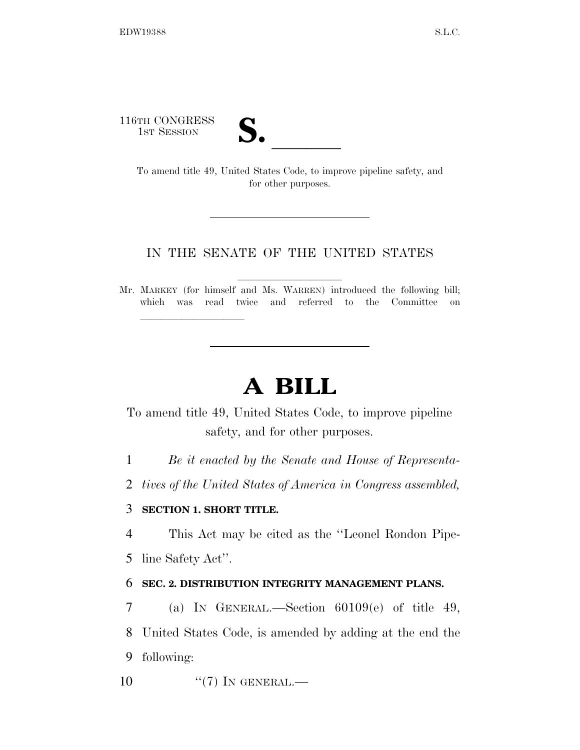116TH CONGRESS

TH CONGRESS<br>
1st Session<br>
To amend title 49, United States Code, to improve pipeline safety, and for other purposes.

## IN THE SENATE OF THE UNITED STATES

Mr. MARKEY (for himself and Ms. WARREN) introduced the following bill; which was read twice and referred to the Committee on

# **A BILL**

To amend title 49, United States Code, to improve pipeline safety, and for other purposes.

1 *Be it enacted by the Senate and House of Representa-*

2 *tives of the United States of America in Congress assembled,* 

## 3 **SECTION 1. SHORT TITLE.**

lla se a constante de la constante de la constante de la constante de la constante de la constante de la const<br>La constante de la constante de la constantidad de la constantidad de la constantidad de la constantidad de la

4 This Act may be cited as the ''Leonel Rondon Pipe-5 line Safety Act''.

## 6 **SEC. 2. DISTRIBUTION INTEGRITY MANAGEMENT PLANS.**

7 (a) IN GENERAL.—Section 60109(e) of title 49, 8 United States Code, is amended by adding at the end the 9 following:

10  $((7)$  In GENERAL.—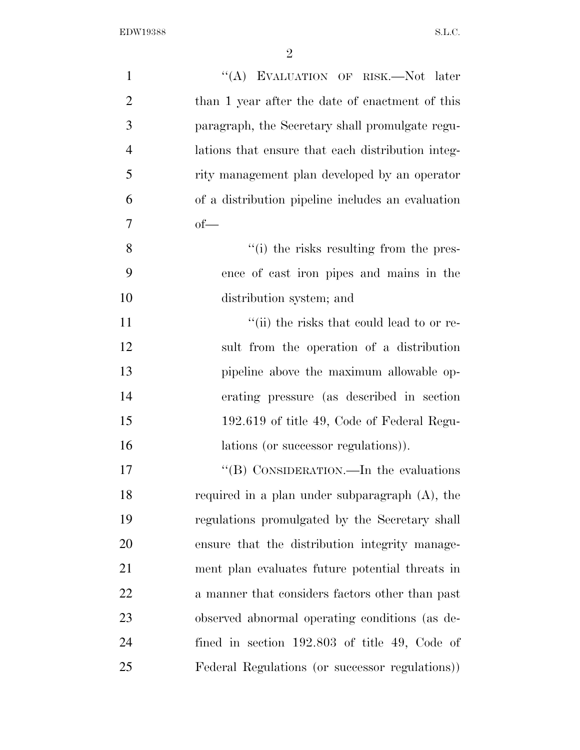| $\mathbf{1}$   | "(A) EVALUATION OF RISK.—Not later                |
|----------------|---------------------------------------------------|
| $\overline{2}$ | than 1 year after the date of enactment of this   |
| 3              | paragraph, the Secretary shall promulgate regu-   |
| $\overline{4}$ | lations that ensure that each distribution integ- |
| 5              | rity management plan developed by an operator     |
| 6              | of a distribution pipeline includes an evaluation |
| 7              | $of$ —                                            |
| 8              | "(i) the risks resulting from the pres-           |
| 9              | ence of cast iron pipes and mains in the          |
| 10             | distribution system; and                          |
| 11             | "(ii) the risks that could lead to or re-         |
| 12             | sult from the operation of a distribution         |
| 13             | pipeline above the maximum allowable op-          |
| 14             | erating pressure (as described in section)        |
| 15             | 192.619 of title 49, Code of Federal Regu-        |
| 16             | lations (or successor regulations)).              |
| 17             | "(B) CONSIDERATION.—In the evaluations            |
| 18             | required in a plan under subparagraph $(A)$ , the |
| 19             | regulations promulgated by the Secretary shall    |
| 20             | ensure that the distribution integrity manage-    |
| 21             | ment plan evaluates future potential threats in   |
| 22             | a manner that considers factors other than past   |
| 23             | observed abnormal operating conditions (as de-    |
| 24             | fined in section $192.803$ of title 49, Code of   |
| 25             | Federal Regulations (or successor regulations))   |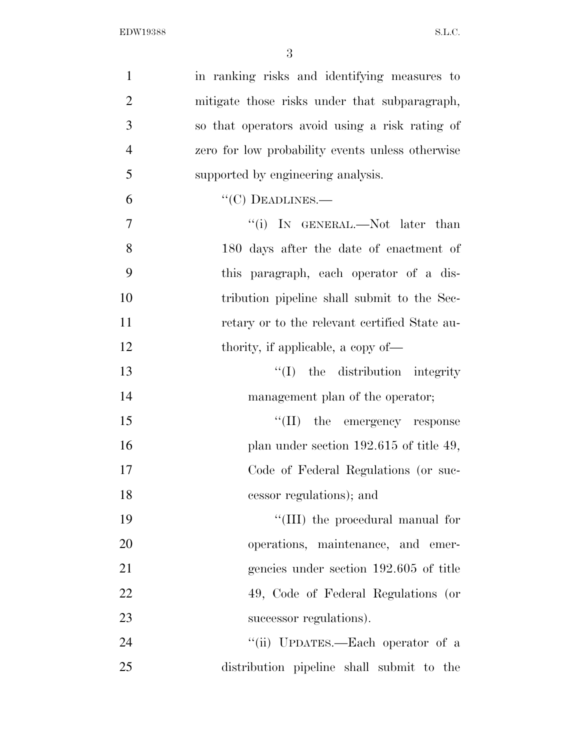| $\mathbf{1}$   | in ranking risks and identifying measures to     |
|----------------|--------------------------------------------------|
| $\overline{2}$ | mitigate those risks under that subparagraph,    |
| 3              | so that operators avoid using a risk rating of   |
| $\overline{4}$ | zero for low probability events unless otherwise |
| 5              | supported by engineering analysis.               |
| 6              | $``(C)$ DEADLINES.—                              |
| $\overline{7}$ | "(i) IN GENERAL.—Not later than                  |
| 8              | 180 days after the date of enactment of          |
| 9              | this paragraph, each operator of a dis-          |
| 10             | tribution pipeline shall submit to the Sec-      |
| 11             | retary or to the relevant certified State au-    |
| 12             | thority, if applicable, a copy of—               |
| 13             | the distribution integrity<br>``(I)              |
| 14             | management plan of the operator;                 |
| 15             | $\lq\lq$ (II) the emergency response             |
| 16             | plan under section $192.615$ of title 49,        |
| 17             | Code of Federal Regulations (or suc-             |
| 18             | cessor regulations); and                         |
| 19             | "(III) the procedural manual for                 |
| 20             | operations, maintenance, and emer-               |
| 21             | gencies under section 192.605 of title           |
| 22             | 49, Code of Federal Regulations (or              |
| 23             | successor regulations).                          |
| 24             | "(ii) UPDATES.—Each operator of a                |
| 25             | distribution pipeline shall submit to the        |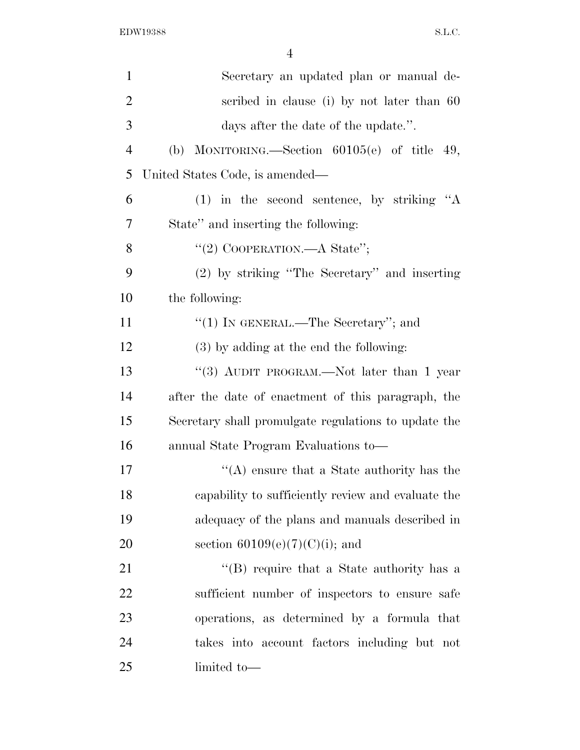| $\mathbf{1}$   | Secretary an updated plan or manual de-              |
|----------------|------------------------------------------------------|
| $\overline{2}$ | scribed in clause (i) by not later than 60           |
| 3              | days after the date of the update.".                 |
| $\overline{4}$ | MONITORING.—Section $60105(e)$ of title 49,<br>(b)   |
| 5              | United States Code, is amended—                      |
| 6              | $(1)$ in the second sentence, by striking "A         |
| 7              | State" and inserting the following:                  |
| 8              | "(2) COOPERATION.—A State";                          |
| 9              | $(2)$ by striking "The Secretary" and inserting      |
| 10             | the following:                                       |
| 11             | "(1) IN GENERAL.—The Secretary"; and                 |
| 12             | $(3)$ by adding at the end the following:            |
| 13             | "(3) AUDIT PROGRAM.—Not later than 1 year            |
| 14             | after the date of enactment of this paragraph, the   |
| 15             | Secretary shall promulgate regulations to update the |
| 16             | annual State Program Evaluations to-                 |
| 17             | $\lq\lq$ ensure that a State authority has the       |
| 18             | capability to sufficiently review and evaluate the   |
| 19             | adequacy of the plans and manuals described in       |
| 20             | section $60109(e)(7)(C)(i)$ ; and                    |
| 21             | "(B) require that a State authority has a            |
| 22             | sufficient number of inspectors to ensure safe       |
| 23             | operations, as determined by a formula that          |
| 24             | takes into account factors including but not         |
| 25             | limited to-                                          |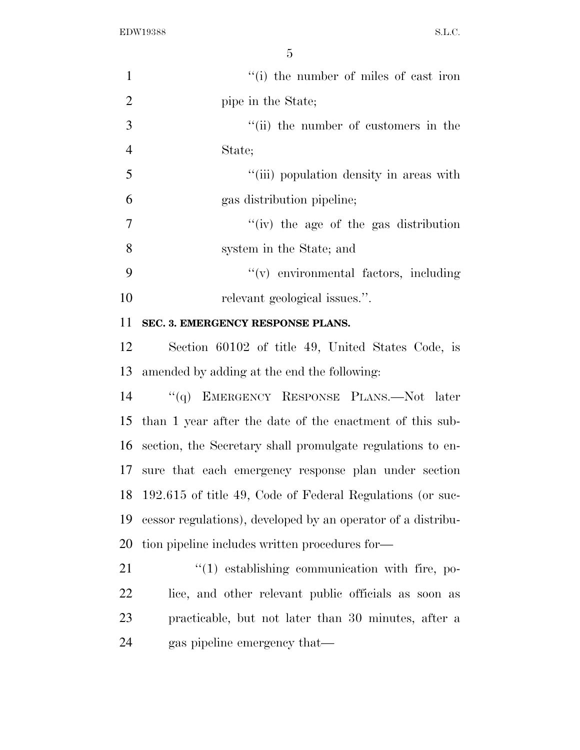| $\mathbf{1}$   | "(i) the number of miles of cast iron                        |
|----------------|--------------------------------------------------------------|
| $\overline{2}$ | pipe in the State;                                           |
| 3              | "(ii) the number of customers in the                         |
| $\overline{4}$ | State;                                                       |
| 5              | "(iii) population density in areas with                      |
| 6              | gas distribution pipeline;                                   |
| 7              | $f'(iv)$ the age of the gas distribution                     |
| 8              | system in the State; and                                     |
| 9              | "(v) environmental factors, including                        |
| 10             | relevant geological issues.".                                |
| 11             | SEC. 3. EMERGENCY RESPONSE PLANS.                            |
| 12             | Section 60102 of title 49, United States Code, is            |
| 13             | amended by adding at the end the following:                  |
| 14             | "(q) EMERGENCY RESPONSE PLANS.—Not later                     |
| 15             | than 1 year after the date of the enactment of this sub-     |
| 16             | section, the Secretary shall promulgate regulations to en-   |
|                | 17 sure that each emergency response plan under section      |
| 18             | 192.615 of title 49, Code of Federal Regulations (or suc-    |
| 19             | cessor regulations), developed by an operator of a distribu- |
| 20             | tion pipeline includes written procedures for—               |
| 21             | $\lq(1)$ establishing communication with fire, po-           |
| 22             | lice, and other relevant public officials as soon as         |
| 23             | practicable, but not later than 30 minutes, after a          |
| 24             | gas pipeline emergency that—                                 |
|                |                                                              |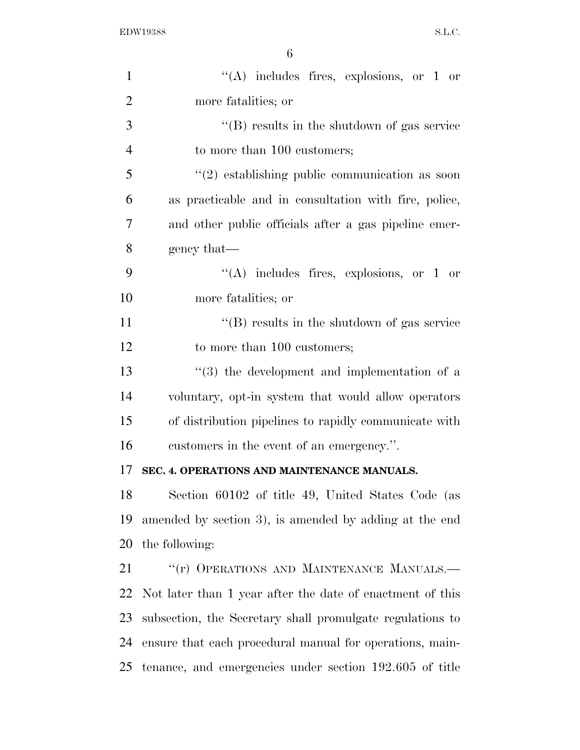| $\mathbf{1}$   | "(A) includes fires, explosions, or 1 or                  |
|----------------|-----------------------------------------------------------|
| $\overline{2}$ | more fatalities; or                                       |
| 3              | $\lq\lq$ (B) results in the shutdown of gas service       |
| $\overline{4}$ | to more than 100 customers;                               |
| 5              | $\cdot\cdot(2)$ establishing public communication as soon |
| 6              | as practicable and in consultation with fire, police,     |
| 7              | and other public officials after a gas pipeline emer-     |
| 8              | gency that—                                               |
| 9              | $\lq\lq$ includes fires, explosions, or 1 or              |
| 10             | more fatalities; or                                       |
| 11             | $\lq\lq$ (B) results in the shutdown of gas service       |
| 12             | to more than 100 customers;                               |
| 13             | "(3) the development and implementation of a              |
| 14             | voluntary, opt-in system that would allow operators       |
| 15             | of distribution pipelines to rapidly communicate with     |
| 16             | customers in the event of an emergency.".                 |
| 17             | SEC. 4. OPERATIONS AND MAINTENANCE MANUALS.               |
| 18             | Section 60102 of title 49, United States Code (as         |
| 19             | amended by section 3), is amended by adding at the end    |
| 20             | the following:                                            |
| 21             | "(r) OPERATIONS AND MAINTENANCE MANUALS.-                 |
| 22             | Not later than 1 year after the date of enactment of this |
| 23             | subsection, the Secretary shall promulgate regulations to |
| 24             | ensure that each procedural manual for operations, main-  |
| 25             | tenance, and emergencies under section 192.605 of title   |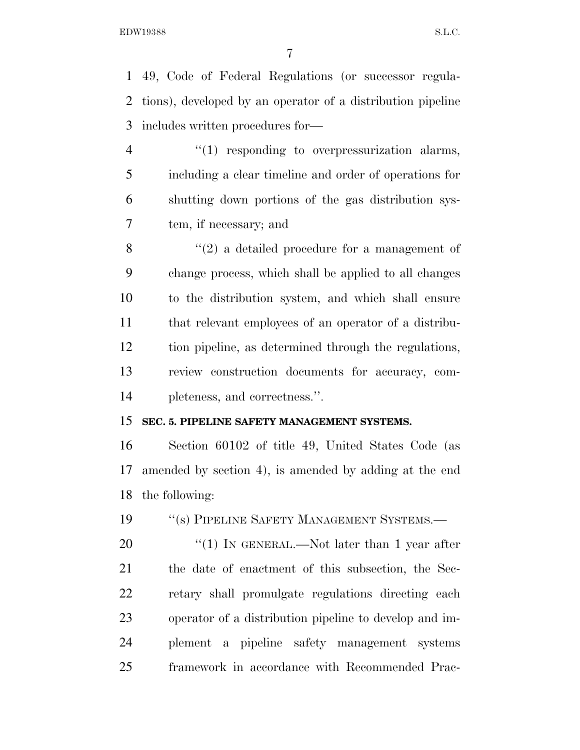49, Code of Federal Regulations (or successor regula- tions), developed by an operator of a distribution pipeline includes written procedures for—

 $\frac{4}{1}$  responding to overpressurization alarms, including a clear timeline and order of operations for shutting down portions of the gas distribution sys-tem, if necessary; and

 $\mathcal{S}$  (2) a detailed procedure for a management of change process, which shall be applied to all changes to the distribution system, and which shall ensure that relevant employees of an operator of a distribu- tion pipeline, as determined through the regulations, review construction documents for accuracy, com-pleteness, and correctness.''.

### **SEC. 5. PIPELINE SAFETY MANAGEMENT SYSTEMS.**

 Section 60102 of title 49, United States Code (as amended by section 4), is amended by adding at the end the following:

19 "(s) PIPELINE SAFETY MANAGEMENT SYSTEMS.—

20 "(1) IN GENERAL.—Not later than 1 year after the date of enactment of this subsection, the Sec- retary shall promulgate regulations directing each operator of a distribution pipeline to develop and im- plement a pipeline safety management systems framework in accordance with Recommended Prac-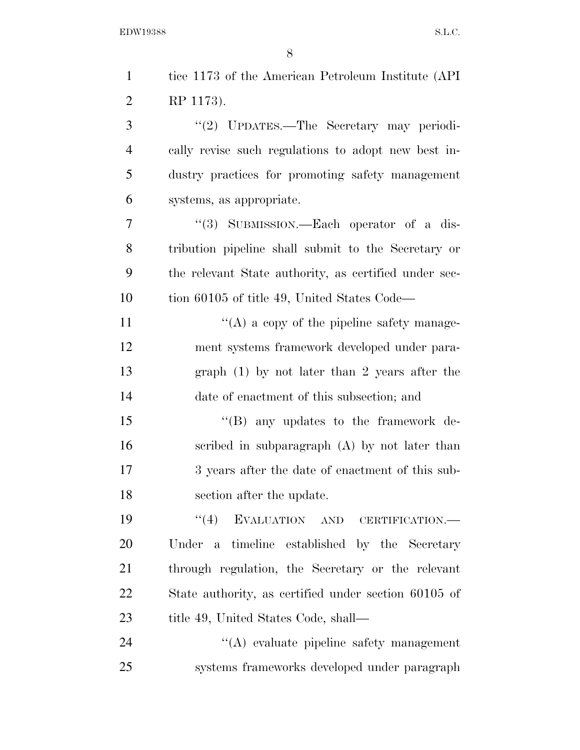| $\mathbf{1}$   | tice 1173 of the American Petroleum Institute (API)   |
|----------------|-------------------------------------------------------|
| $\overline{2}$ | RP 1173).                                             |
| 3              | "(2) UPDATES.—The Secretary may periodi-              |
| $\overline{4}$ | cally revise such regulations to adopt new best in-   |
| 5              | dustry practices for promoting safety management      |
| 6              | systems, as appropriate.                              |
| 7              | "(3) SUBMISSION.—Each operator of a dis-              |
| 8              | tribution pipeline shall submit to the Secretary or   |
| 9              | the relevant State authority, as certified under sec- |
| 10             | tion 60105 of title 49, United States Code—           |
| 11             | $\lq\lq$ (A) a copy of the pipeline safety manage-    |
| 12             | ment systems framework developed under para-          |
| 13             | graph $(1)$ by not later than 2 years after the       |
| 14             | date of enactment of this subsection; and             |
| 15             | $\lq\lq (B)$ any updates to the framework de-         |
| 16             | scribed in subparagraph $(A)$ by not later than       |
| 17             | 3 years after the date of enactment of this sub-      |
| 18             | section after the update.                             |
| 19             | EVALUATION AND CERTIFICATION.-<br>(4)                 |
| 20             | Under a timeline established by the Secretary         |
| 21             | through regulation, the Secretary or the relevant     |
| 22             | State authority, as certified under section 60105 of  |
| 23             | title 49, United States Code, shall—                  |
| 24             | $\lq\lq$ evaluate pipeline safety management          |
| 25             | systems frameworks developed under paragraph          |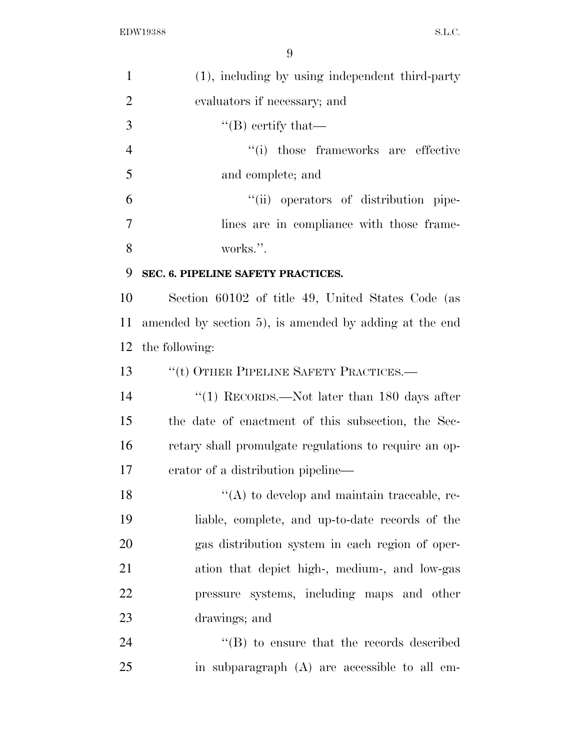| $\mathbf{1}$   | (1), including by using independent third-party        |
|----------------|--------------------------------------------------------|
| $\overline{2}$ | evaluators if necessary; and                           |
| 3              | $\lq\lq (B)$ certify that—                             |
| $\overline{4}$ | "(i) those frameworks are effective                    |
| 5              | and complete; and                                      |
| 6              | "(ii) operators of distribution pipe-                  |
| 7              | lines are in compliance with those frame-              |
| 8              | works.".                                               |
| 9              | SEC. 6. PIPELINE SAFETY PRACTICES.                     |
| 10             | Section 60102 of title 49, United States Code (as      |
| 11             | amended by section 5), is amended by adding at the end |
| 12             | the following:                                         |
| 13             | $``$ (t) OTHER PIPELINE SAFETY PRACTICES.—             |
| 14             | "(1) RECORDS.—Not later than $180$ days after          |
| 15             | the date of enactment of this subsection, the Sec-     |
| 16             | retary shall promulgate regulations to require an op-  |
| 17             | erator of a distribution pipeline—                     |
| 18             | $\lq\lq$ to develop and maintain traceable, re-        |
| 19             | liable, complete, and up-to-date records of the        |
| 20             | gas distribution system in each region of oper-        |
| 21             | ation that depict high-, medium-, and low-gas          |
| 22             | pressure systems, including maps and other             |
| 23             | drawings; and                                          |
| 24             | "(B) to ensure that the records described              |
| 25             | in subparagraph (A) are accessible to all em-          |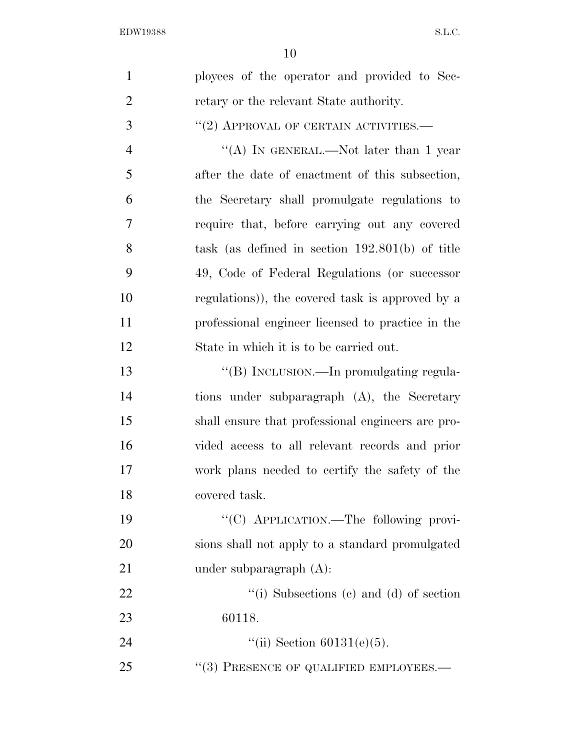| $\mathbf{1}$   | ployees of the operator and provided to Sec-      |
|----------------|---------------------------------------------------|
| $\overline{2}$ | retary or the relevant State authority.           |
| 3              | $``(2)$ APPROVAL OF CERTAIN ACTIVITIES.—          |
| $\overline{4}$ | "(A) IN GENERAL.—Not later than 1 year            |
| 5              | after the date of enactment of this subsection,   |
| 6              | the Secretary shall promulgate regulations to     |
| 7              | require that, before carrying out any covered     |
| 8              | task (as defined in section $192.801(b)$ of title |
| 9              | 49, Code of Federal Regulations (or successor     |
| 10             | regulations)), the covered task is approved by a  |
| 11             | professional engineer licensed to practice in the |
| 12             | State in which it is to be carried out.           |
| 13             | "(B) INCLUSION.—In promulgating regula-           |
| 14             | tions under subparagraph (A), the Secretary       |
| 15             | shall ensure that professional engineers are pro- |
| 16             | vided access to all relevant records and prior    |
| 17             | work plans needed to certify the safety of the    |
| 18             | covered task.                                     |
| 19             | "(C) APPLICATION.—The following provi-            |
| 20             | sions shall not apply to a standard promulgated   |
| 21             | under subparagraph $(A)$ :                        |
| 22             | "(i) Subsections (c) and (d) of section           |
| 23             | 60118.                                            |
| 24             | "(ii) Section $60131(e)(5)$ .                     |
| 25             | $``(3)$ PRESENCE OF QUALIFIED EMPLOYEES.—         |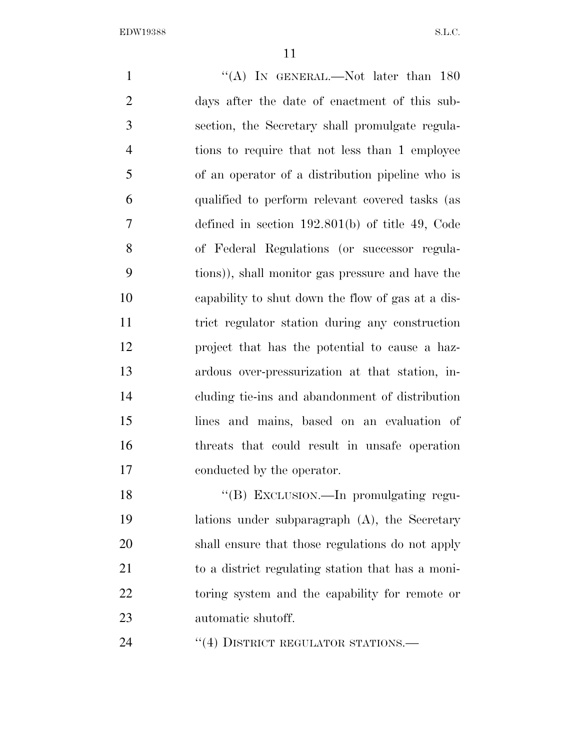1 "(A) IN GENERAL.—Not later than 180 days after the date of enactment of this sub- section, the Secretary shall promulgate regula- tions to require that not less than 1 employee of an operator of a distribution pipeline who is qualified to perform relevant covered tasks (as defined in section 192.801(b) of title 49, Code of Federal Regulations (or successor regula- tions)), shall monitor gas pressure and have the capability to shut down the flow of gas at a dis- trict regulator station during any construction project that has the potential to cause a haz- ardous over-pressurization at that station, in- cluding tie-ins and abandonment of distribution lines and mains, based on an evaluation of threats that could result in unsafe operation conducted by the operator. 18 "(B) EXCLUSION.—In promulgating regu- lations under subparagraph (A), the Secretary shall ensure that those regulations do not apply to a district regulating station that has a moni- toring system and the capability for remote or automatic shutoff.

24 "(4) DISTRICT REGULATOR STATIONS.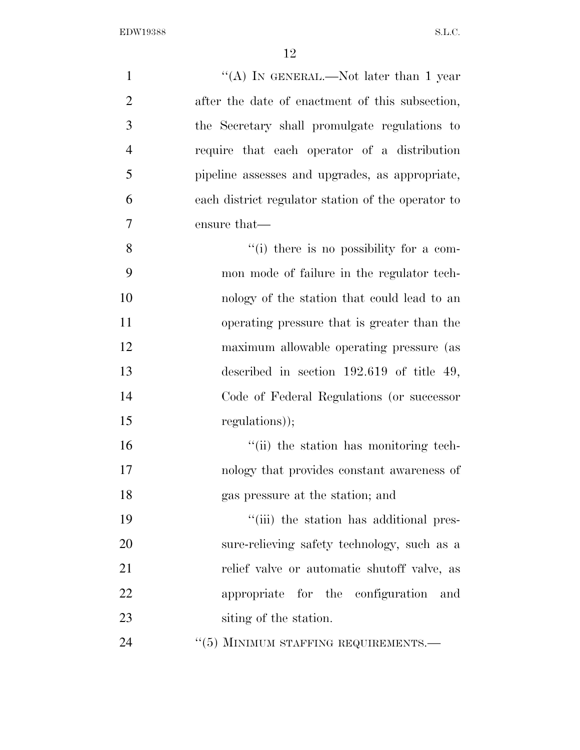| $\mathbf{1}$   | "(A) IN GENERAL.—Not later than 1 year             |
|----------------|----------------------------------------------------|
| $\overline{2}$ | after the date of enactment of this subsection,    |
| 3              | the Secretary shall promulgate regulations to      |
| $\overline{4}$ | require that each operator of a distribution       |
| 5              | pipeline assesses and upgrades, as appropriate,    |
| 6              | each district regulator station of the operator to |
| 7              | ensure that—                                       |
| 8              | "(i) there is no possibility for a com-            |
| 9              | mon mode of failure in the regulator tech-         |
| 10             | nology of the station that could lead to an        |
| 11             | operating pressure that is greater than the        |
| 12             | maximum allowable operating pressure (as           |
| 13             | described in section $192.619$ of title 49,        |
| 14             | Code of Federal Regulations (or successor          |
| 15             | regulations));                                     |
| 16             | "(ii) the station has monitoring tech-             |
| 17             | nology that provides constant awareness of         |
| 18             | gas pressure at the station; and                   |
| 19             | "(iii) the station has additional pres-            |
| 20             | sure-relieving safety technology, such as a        |
| 21             | relief valve or automatic shutoff valve, as        |
| 22             | appropriate for the configuration<br>and           |
| 23             | siting of the station.                             |
| 24             | "(5) MINIMUM STAFFING REQUIREMENTS.-               |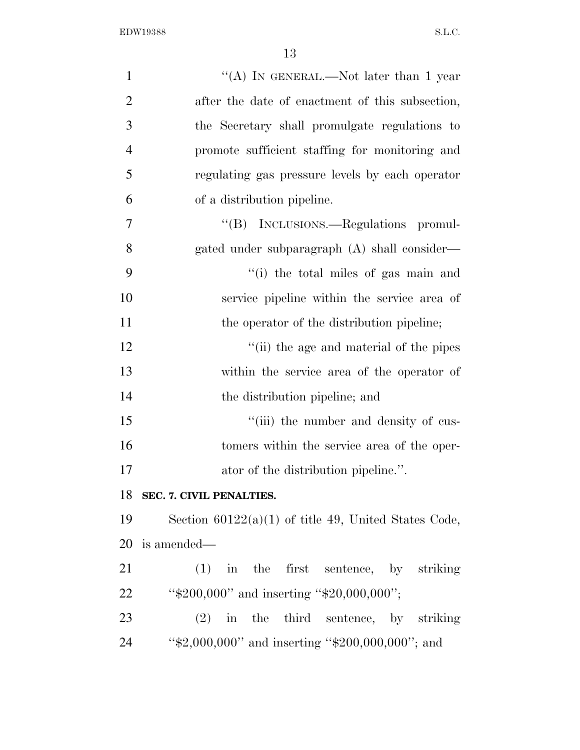| $\mathbf{1}$   | "(A) IN GENERAL.—Not later than 1 year                 |
|----------------|--------------------------------------------------------|
| $\overline{2}$ | after the date of enactment of this subsection,        |
| 3              | the Secretary shall promulgate regulations to          |
| $\overline{4}$ | promote sufficient staffing for monitoring and         |
| 5              | regulating gas pressure levels by each operator        |
| 6              | of a distribution pipeline.                            |
| 7              | "(B) INCLUSIONS.—Regulations promul-                   |
| 8              | gated under subparagraph (A) shall consider—           |
| 9              | "(i) the total miles of gas main and                   |
| 10             | service pipeline within the service area of            |
| 11             | the operator of the distribution pipeline;             |
| 12             | "(ii) the age and material of the pipes                |
| 13             | within the service area of the operator of             |
| 14             | the distribution pipeline; and                         |
| 15             | "(iii) the number and density of cus-                  |
| 16             | tomers within the service area of the oper-            |
| 17             | ator of the distribution pipeline.".                   |
| 18             | SEC. 7. CIVIL PENALTIES.                               |
| 19             | Section $60122(a)(1)$ of title 49, United States Code, |
| 20             | is amended—                                            |
| 21             | $(1)$ in the first sentence, by striking               |
| 22             | " $$200,000"$ and inserting " $$20,000,000"$ ;         |
| 23             | $(2)$ in the third sentence, by striking               |
| 24             | " $$2,000,000"$ and inserting " $$200,000,000"$ ; and  |